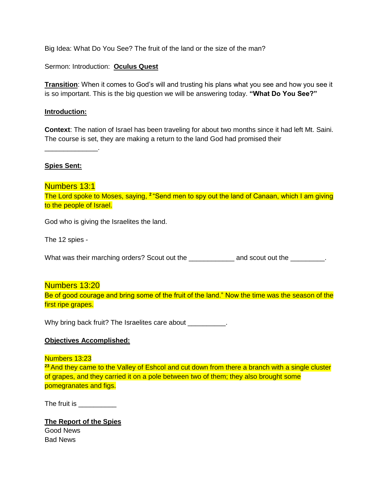Big Idea: What Do You See? The fruit of the land or the size of the man?

Sermon: Introduction: **Oculus Quest** 

**Transition**: When it comes to God's will and trusting his plans what you see and how you see it is so important. This is the big question we will be answering today. **"What Do You See?"** 

#### **Introduction:**

**Context**: The nation of Israel has been traveling for about two months since it had left Mt. Saini. The course is set, they are making a return to the land God had promised their

\_\_\_\_\_\_\_\_\_\_\_\_\_\_.

# **Spies Sent:**

Numbers 13:1 The Lord spoke to Moses, saying, **<sup>2</sup>**"Send men to spy out the land of Canaan, which I am giving to the people of Israel.

God who is giving the Israelites the land.

The 12 spies -

What was their marching orders? Scout out the \_\_\_\_\_\_\_\_\_\_\_\_\_\_\_ and scout out the \_\_\_\_\_\_\_\_\_.

### Numbers 13:20

Be of good courage and bring some of the fruit of the land." Now the time was the season of the first ripe grapes.

Why bring back fruit? The Israelites care about \_\_\_\_\_\_\_\_\_\_.

### **Objectives Accomplished:**

#### Numbers 13:23

**<sup>23</sup>**And they came to the Valley of Eshcol and cut down from there a branch with a single cluster of grapes, and they carried it on a pole between two of them; they also brought some pomegranates and figs.

The fruit is **EXECUTE:** 

# **The Report of the Spies** Good News Bad News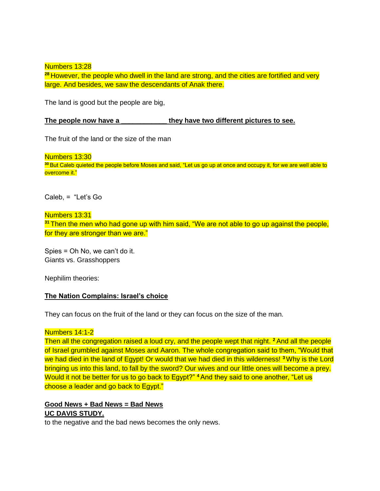Numbers 13:28

28 However, the people who dwell in the land are strong, and the cities are fortified and very large. And besides, we saw the descendants of Anak there.

The land is good but the people are big,

#### **The people now have a zero they have two different pictures to see.**

The fruit of the land or the size of the man

Numbers 13:30 **<sup>30</sup>**But Caleb quieted the people before Moses and said, "Let us go up at once and occupy it, for we are well able to overcome it."

Caleb, = "Let's Go

Numbers 13:31 **<sup>31</sup>**Then the men who had gone up with him said, "We are not able to go up against the people, for they are stronger than we are."

Spies = Oh No, we can't do it. Giants vs. Grasshoppers

Nephilim theories:

### **The Nation Complains: Israel's choice**

They can focus on the fruit of the land or they can focus on the size of the man.

#### Numbers 14:1-2

Then all the congregation raised a loud cry, and the people wept that night. **<sup>2</sup>**And all the people of Israel grumbled against Moses and Aaron. The whole congregation said to them, "Would that we had died in the land of Egypt! Or would that we had died in this wilderness! **<sup>3</sup>**Why is the Lord bringing us into this land, to fall by the sword? Our wives and our little ones will become a prey. Would it not be better for us to go back to Egypt?" **<sup>4</sup>**And they said to one another, "Let us choose a leader and go back to Egypt."

### **Good News + Bad News = Bad News UC DAVIS STUDY.**

to the negative and the bad news becomes the only news.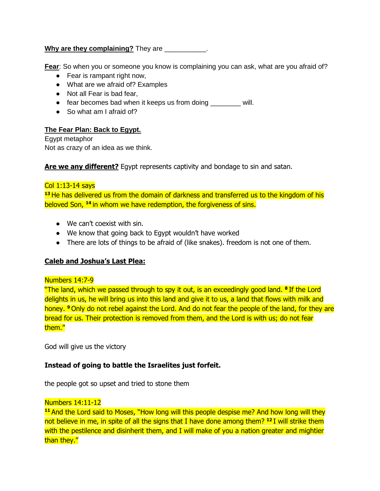### **Why are they complaining?** They are \_\_\_\_\_\_\_\_\_\_.

**Fear**: So when you or someone you know is complaining you can ask, what are you afraid of?

- Fear is rampant right now,
- What are we afraid of? Examples
- Not all Fear is bad fear,
- fear becomes bad when it keeps us from doing will.
- So what am I afraid of?

# **The Fear Plan: Back to Egypt.**

Egypt metaphor Not as crazy of an idea as we think.

Are we any different? Egypt represents captivity and bondage to sin and satan.

### Col 1:13-14 says

<sup>13</sup> He has delivered us from the domain of darkness and transferred us to the kingdom of his beloved Son, **<sup>14</sup>**in whom we have redemption, the forgiveness of sins.

- We can't coexist with sin.
- We know that going back to Egypt wouldn't have worked
- There are lots of things to be afraid of (like snakes). freedom is not one of them.

### **Caleb and Joshua's Last Plea:**

### Numbers 14:7-9

"The land, which we passed through to spy it out, is an exceedingly good land. **<sup>8</sup>**If the Lord delights in us, he will bring us into this land and give it to us, a land that flows with milk and honey. **<sup>9</sup>**Only do not rebel against the Lord. And do not fear the people of the land, for they are bread for us. Their protection is removed from them, and the Lord is with us; do not fear them."

God will give us the victory

### **Instead of going to battle the Israelites just forfeit.**

the people got so upset and tried to stone them

### Numbers 14:11-12

<sup>11</sup> And the Lord said to Moses, "How long will this people despise me? And how long will they not believe in me, in spite of all the signs that I have done among them? **<sup>12</sup>**I will strike them with the pestilence and disinherit them, and I will make of you a nation greater and mightier than they."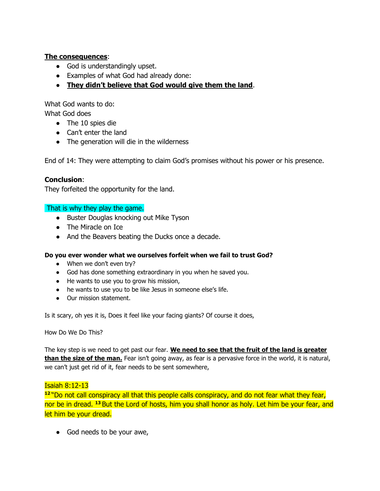# **The consequences**:

- God is understandingly upset.
- Examples of what God had already done:
- **They didn't believe that God would give them the land**.

What God wants to do: What God does

- The 10 spies die
- Can't enter the land
- The generation will die in the wilderness

End of 14: They were attempting to claim God's promises without his power or his presence.

# **Conclusion**:

They forfeited the opportunity for the land.

### That is why they play the game.

- Buster Douglas knocking out Mike Tyson
- The Miracle on Ice
- And the Beavers beating the Ducks once a decade.

### **Do you ever wonder what we ourselves forfeit when we fail to trust God?**

- When we don't even try?
- God has done something extraordinary in you when he saved you.
- He wants to use you to grow his mission,
- he wants to use you to be like Jesus in someone else's life.
- Our mission statement.

Is it scary, oh yes it is, Does it feel like your facing giants? Of course it does,

How Do We Do This?

The key step is we need to get past our fear. **We need to see that the fruit of the land is greater than the size of the man.** Fear isn't going away, as fear is a pervasive force in the world, it is natural, we can't just get rid of it, fear needs to be sent somewhere,

### Isaiah 8:12-13

**<sup>12</sup>**"Do not call conspiracy all that this people calls conspiracy, and do not fear what they fear, nor be in dread. **<sup>13</sup>**But the Lord of hosts, him you shall honor as holy. Let him be your fear, and let him be your dread.

• God needs to be your awe,